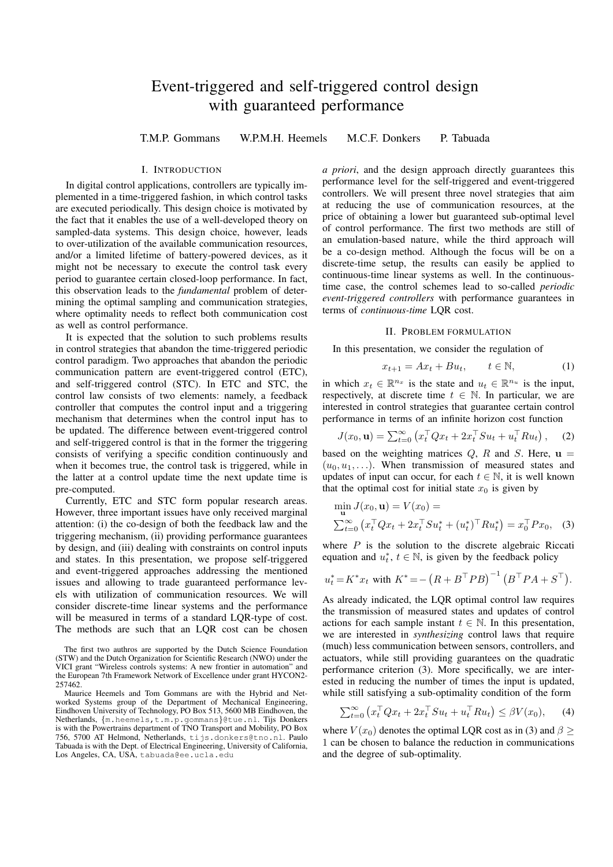# Event-triggered and self-triggered control design with guaranteed performance

T.M.P. Gommans W.P.M.H. Heemels M.C.F. Donkers P. Tabuada

## I. INTRODUCTION

In digital control applications, controllers are typically implemented in a time-triggered fashion, in which control tasks are executed periodically. This design choice is motivated by the fact that it enables the use of a well-developed theory on sampled-data systems. This design choice, however, leads to over-utilization of the available communication resources, and/or a limited lifetime of battery-powered devices, as it might not be necessary to execute the control task every period to guarantee certain closed-loop performance. In fact, this observation leads to the *fundamental* problem of determining the optimal sampling and communication strategies, where optimality needs to reflect both communication cost as well as control performance.

It is expected that the solution to such problems results in control strategies that abandon the time-triggered periodic control paradigm. Two approaches that abandon the periodic communication pattern are event-triggered control (ETC), and self-triggered control (STC). In ETC and STC, the control law consists of two elements: namely, a feedback controller that computes the control input and a triggering mechanism that determines when the control input has to be updated. The difference between event-triggered control and self-triggered control is that in the former the triggering consists of verifying a specific condition continuously and when it becomes true, the control task is triggered, while in the latter at a control update time the next update time is pre-computed.

Currently, ETC and STC form popular research areas. However, three important issues have only received marginal attention: (i) the co-design of both the feedback law and the triggering mechanism, (ii) providing performance guarantees by design, and (iii) dealing with constraints on control inputs and states. In this presentation, we propose self-triggered and event-triggered approaches addressing the mentioned issues and allowing to trade guaranteed performance levels with utilization of communication resources. We will consider discrete-time linear systems and the performance will be measured in terms of a standard LQR-type of cost. The methods are such that an LQR cost can be chosen

*a priori*, and the design approach directly guarantees this performance level for the self-triggered and event-triggered controllers. We will present three novel strategies that aim at reducing the use of communication resources, at the price of obtaining a lower but guaranteed sub-optimal level of control performance. The first two methods are still of an emulation-based nature, while the third approach will be a co-design method. Although the focus will be on a discrete-time setup, the results can easily be applied to continuous-time linear systems as well. In the continuoustime case, the control schemes lead to so-called *periodic event-triggered controllers* with performance guarantees in terms of *continuous-time* LQR cost.

# II. PROBLEM FORMULATION

In this presentation, we consider the regulation of

$$
x_{t+1} = Ax_t + Bu_t, \qquad t \in \mathbb{N}, \tag{1}
$$

in which  $x_t \in \mathbb{R}^{n_x}$  is the state and  $u_t \in \mathbb{R}^{n_u}$  is the input, respectively, at discrete time  $t \in \mathbb{N}$ . In particular, we are interested in control strategies that guarantee certain control performance in terms of an infinite horizon cost function

$$
J(x_0, \mathbf{u}) = \sum_{t=0}^{\infty} \left( x_t^\top Q x_t + 2 x_t^\top S u_t + u_t^\top R u_t \right), \quad (2)
$$

based on the weighting matrices  $Q$ ,  $R$  and  $S$ . Here,  $\mathbf{u} =$  $(u_0, u_1, \ldots)$ . When transmission of measured states and updates of input can occur, for each  $t \in \mathbb{N}$ , it is well known that the optimal cost for initial state  $x_0$  is given by

$$
\min_{\mathbf{u}} J(x_0, \mathbf{u}) = V(x_0) =
$$
  

$$
\sum_{t=0}^{\infty} (x_t^\top Q x_t + 2x_t^\top S u_t^* + (u_t^*)^\top R u_t^*) = x_0^\top P x_0, \quad (3)
$$

where  $P$  is the solution to the discrete algebraic Riccati equation and  $u_t^*$ ,  $t \in \mathbb{N}$ , is given by the feedback policy

$$
u_t^* = K^* x_t
$$
 with  $K^* = - (R + B^{\top} P B)^{-1} (B^{\top} P A + S^{\top}).$ 

As already indicated, the LQR optimal control law requires the transmission of measured states and updates of control actions for each sample instant  $t \in \mathbb{N}$ . In this presentation, we are interested in *synthesizing* control laws that require (much) less communication between sensors, controllers, and actuators, while still providing guarantees on the quadratic performance criterion (3). More specifically, we are interested in reducing the number of times the input is updated, while still satisfying a sub-optimality condition of the form

$$
\sum_{t=0}^{\infty} \left( x_t^\top Q x_t + 2x_t^\top S u_t + u_t^\top R u_t \right) \le \beta V(x_0), \qquad (4)
$$

where  $V(x_0)$  denotes the optimal LQR cost as in (3) and  $\beta$  > 1 can be chosen to balance the reduction in communications and the degree of sub-optimality.

The first two authros are supported by the Dutch Science Foundation (STW) and the Dutch Organization for Scientific Research (NWO) under the VICI grant "Wireless controls systems: A new frontier in automation" and the European 7th Framework Network of Excellence under grant HYCON2- 257462.

Maurice Heemels and Tom Gommans are with the Hybrid and Networked Systems group of the Department of Mechanical Engineering, Eindhoven University of Technology, PO Box 513, 5600 MB Eindhoven, the Netherlands, *{*m.heemels,t.m.p.gommans*}*@tue.nl. Tijs Donkers is with the Powertrains department of TNO Transport and Mobility, PO Box 756, 5700 AT Helmond, Netherlands, tijs.donkers@tno.nl. Paulo Tabuada is with the Dept. of Electrical Engineering, University of California, Los Angeles, CA, USA, tabuada@ee.ucla.edu